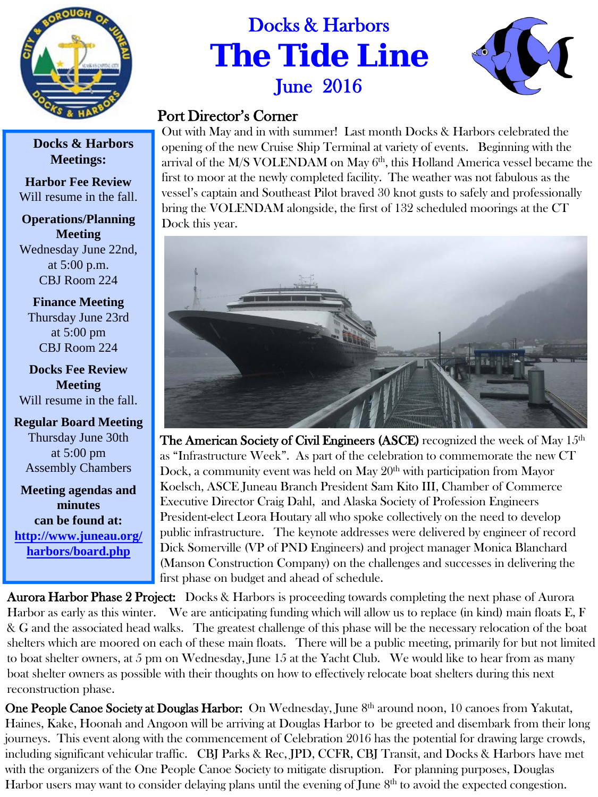

## Docks & Harbors **The Tide Line** June 2016



## Port Director's Corner

Out with May and in with summer! Last month Docks & Harbors celebrated the opening of the new Cruise Ship Terminal at variety of events. Beginning with the arrival of the  $M/S$  VOLENDAM on May  $6<sup>th</sup>$ , this Holland America vessel became the first to moor at the newly completed facility. The weather was not fabulous as the vessel's captain and Southeast Pilot braved 30 knot gusts to safely and professionally bring the VOLENDAM alongside, the first of 132 scheduled moorings at the CT Dock this year.



The American Society of Civil Engineers (ASCE) recognized the week of May  $15<sup>th</sup>$ as "Infrastructure Week". As part of the celebration to commemorate the new CT Dock, a community event was held on May  $20<sup>th</sup>$  with participation from Mayor Koelsch, ASCE Juneau Branch President Sam Kito III, Chamber of Commerce Executive Director Craig Dahl, and Alaska Society of Profession Engineers President-elect Leora Houtary all who spoke collectively on the need to develop public infrastructure. The keynote addresses were delivered by engineer of record Dick Somerville (VP of PND Engineers) and project manager Monica Blanchard (Manson Construction Company) on the challenges and successes in delivering the first phase on budget and ahead of schedule.

Aurora Harbor Phase 2 Project: Docks & Harbors is proceeding towards completing the next phase of Aurora Harbor as early as this winter. We are anticipating funding which will allow us to replace (in kind) main floats E, F & G and the associated head walks. The greatest challenge of this phase will be the necessary relocation of the boat shelters which are moored on each of these main floats. There will be a public meeting, primarily for but not limited to boat shelter owners, at 5 pm on Wednesday, June 15 at the Yacht Club. We would like to hear from as many boat shelter owners as possible with their thoughts on how to effectively relocate boat shelters during this next reconstruction phase.

One People Canoe Society at Douglas Harbor: On Wednesday, June 8<sup>th</sup> around noon, 10 canoes from Yakutat, Haines, Kake, Hoonah and Angoon will be arriving at Douglas Harbor to be greeted and disembark from their long journeys. This event along with the commencement of Celebration 2016 has the potential for drawing large crowds, including significant vehicular traffic. CBJ Parks & Rec, JPD, CCFR, CBJ Transit, and Docks & Harbors have met with the organizers of the One People Canoe Society to mitigate disruption. For planning purposes, Douglas Harbor users may want to consider delaying plans until the evening of June 8<sup>th</sup> to avoid the expected congestion.

 **Docks & Harbors Meetings:**

**Harbor Fee Review** Will resume in the fall.

**Operations/Planning Meeting** Wednesday June 22nd, at 5:00 p.m. CBJ Room 224

**Finance Meeting** Thursday June 23rd at 5:00 pm CBJ Room 224

**Docks Fee Review Meeting** Will resume in the fall.

**Regular Board Meeting** Thursday June 30th at 5:00 pm Assembly Chambers

**Meeting agendas and minutes can be found at: [http://www.juneau.org/](http://www.juneau.org/harbors/board.php) [harbors/board.php](http://www.juneau.org/harbors/board.php)**